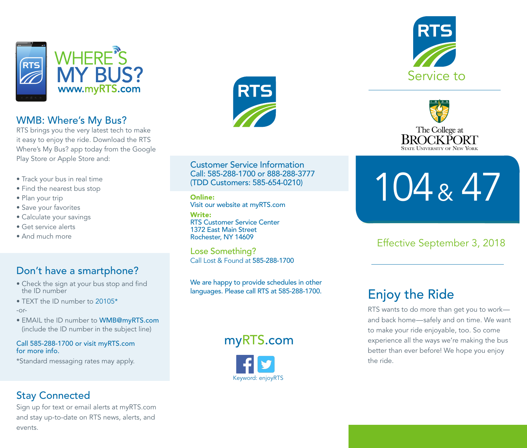

### WMB: Where's My Bus?

RTS brings you the very latest tech to make it easy to enjoy the ride. Download the RTS Where's My Bus? app today from the Google Play Store or Apple Store and:

- Track your bus in real time
- Find the nearest bus stop
- Plan your trip
- Save your favorites
- Calculate your savings
- Get service alerts
- And much more

#### Don't have a smartphone?

- Check the sign at your bus stop and find the ID number
- TEXT the ID number to 20105\* -or-
- 
- EMAIL the ID number to WMB@myRTS.com (include the ID number in the subject line)

#### Call 585-288-1700 or visit myRTS.com for more info.

\*Standard messaging rates may apply.

#### Stay Connected

Sign up for text or email alerts at myRTS.com and stay up-to-date on RTS news, alerts, and events.



Customer Service Information Call: 585-288-1700 or 888-288-3777 (TDD Customers: 585-654-0210)

Online: Visit our website at myRTS.com

Write: RTS Customer Service Center 1372 East Main Street Rochester, NY 14609

Lose Something? Call Lost & Found at 585-288-1700

We are happy to provide schedules in other languages. Please call RTS at 585-288-1700.

myRTS.com







# 104 & 47

Effective September 3, 2018

## Enjoy the Ride

RTS wants to do more than get you to work and back home—safely and on time. We want to make your ride enjoyable, too. So come experience all the ways we're making the bus better than ever before! We hope you enjoy the ride.